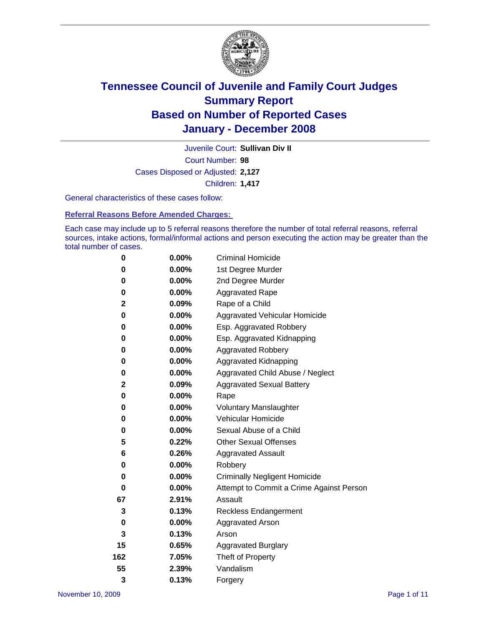

Court Number: **98** Juvenile Court: **Sullivan Div II** Cases Disposed or Adjusted: **2,127** Children: **1,417**

General characteristics of these cases follow:

**Referral Reasons Before Amended Charges:** 

Each case may include up to 5 referral reasons therefore the number of total referral reasons, referral sources, intake actions, formal/informal actions and person executing the action may be greater than the total number of cases.

| 0            | $0.00\%$ | <b>Criminal Homicide</b>                 |
|--------------|----------|------------------------------------------|
| 0            | 0.00%    | 1st Degree Murder                        |
| 0            | $0.00\%$ | 2nd Degree Murder                        |
| 0            | 0.00%    | <b>Aggravated Rape</b>                   |
| $\mathbf{2}$ | 0.09%    | Rape of a Child                          |
| 0            | 0.00%    | Aggravated Vehicular Homicide            |
| 0            | 0.00%    | Esp. Aggravated Robbery                  |
| 0            | $0.00\%$ | Esp. Aggravated Kidnapping               |
| 0            | $0.00\%$ | <b>Aggravated Robbery</b>                |
| 0            | $0.00\%$ | Aggravated Kidnapping                    |
| 0            | $0.00\%$ | Aggravated Child Abuse / Neglect         |
| $\mathbf{2}$ | 0.09%    | <b>Aggravated Sexual Battery</b>         |
| 0            | 0.00%    | Rape                                     |
| 0            | 0.00%    | <b>Voluntary Manslaughter</b>            |
| 0            | 0.00%    | Vehicular Homicide                       |
| 0            | 0.00%    | Sexual Abuse of a Child                  |
| 5            | 0.22%    | <b>Other Sexual Offenses</b>             |
| 6            | 0.26%    | <b>Aggravated Assault</b>                |
| 0            | $0.00\%$ | Robbery                                  |
| 0            | 0.00%    | <b>Criminally Negligent Homicide</b>     |
| 0            | $0.00\%$ | Attempt to Commit a Crime Against Person |
| 67           | 2.91%    | Assault                                  |
| 3            | 0.13%    | <b>Reckless Endangerment</b>             |
| 0            | 0.00%    | <b>Aggravated Arson</b>                  |
| 3            | 0.13%    | Arson                                    |
| 15           | 0.65%    | Aggravated Burglary                      |
| 162          | 7.05%    | Theft of Property                        |
| 55           | 2.39%    | Vandalism                                |
| 3            | 0.13%    | Forgery                                  |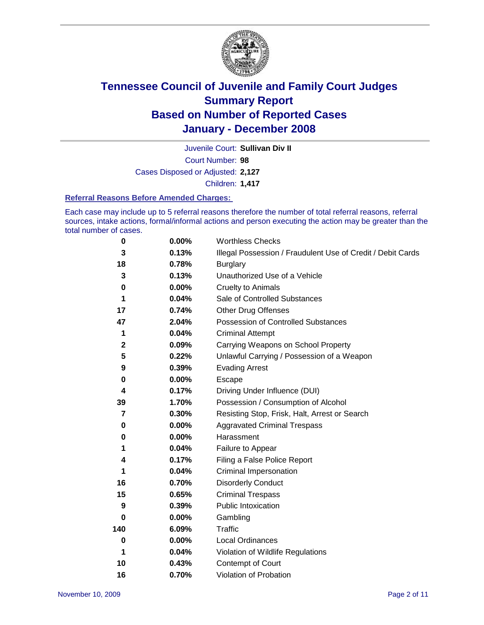

Court Number: **98** Juvenile Court: **Sullivan Div II** Cases Disposed or Adjusted: **2,127** Children: **1,417**

#### **Referral Reasons Before Amended Charges:**

Each case may include up to 5 referral reasons therefore the number of total referral reasons, referral sources, intake actions, formal/informal actions and person executing the action may be greater than the total number of cases.

| 0              | 0.00%    | <b>Worthless Checks</b>                                     |
|----------------|----------|-------------------------------------------------------------|
| 3              | 0.13%    | Illegal Possession / Fraudulent Use of Credit / Debit Cards |
| 18             | 0.78%    | <b>Burglary</b>                                             |
| 3              | 0.13%    | Unauthorized Use of a Vehicle                               |
| 0              | $0.00\%$ | <b>Cruelty to Animals</b>                                   |
| 1              | 0.04%    | Sale of Controlled Substances                               |
| 17             | 0.74%    | <b>Other Drug Offenses</b>                                  |
| 47             | 2.04%    | <b>Possession of Controlled Substances</b>                  |
| 1              | 0.04%    | <b>Criminal Attempt</b>                                     |
| $\mathbf 2$    | 0.09%    | Carrying Weapons on School Property                         |
| 5              | 0.22%    | Unlawful Carrying / Possession of a Weapon                  |
| 9              | 0.39%    | <b>Evading Arrest</b>                                       |
| 0              | 0.00%    | Escape                                                      |
| 4              | 0.17%    | Driving Under Influence (DUI)                               |
| 39             | 1.70%    | Possession / Consumption of Alcohol                         |
| $\overline{7}$ | 0.30%    | Resisting Stop, Frisk, Halt, Arrest or Search               |
| 0              | 0.00%    | <b>Aggravated Criminal Trespass</b>                         |
| 0              | 0.00%    | Harassment                                                  |
| 1              | 0.04%    | Failure to Appear                                           |
| 4              | 0.17%    | Filing a False Police Report                                |
| 1              | 0.04%    | Criminal Impersonation                                      |
| 16             | 0.70%    | <b>Disorderly Conduct</b>                                   |
| 15             | 0.65%    | <b>Criminal Trespass</b>                                    |
| 9              | 0.39%    | <b>Public Intoxication</b>                                  |
| 0              | 0.00%    | Gambling                                                    |
| 140            | 6.09%    | Traffic                                                     |
| 0              | 0.00%    | Local Ordinances                                            |
| 1              | 0.04%    | Violation of Wildlife Regulations                           |
| 10             | 0.43%    | <b>Contempt of Court</b>                                    |
| 16             | 0.70%    | Violation of Probation                                      |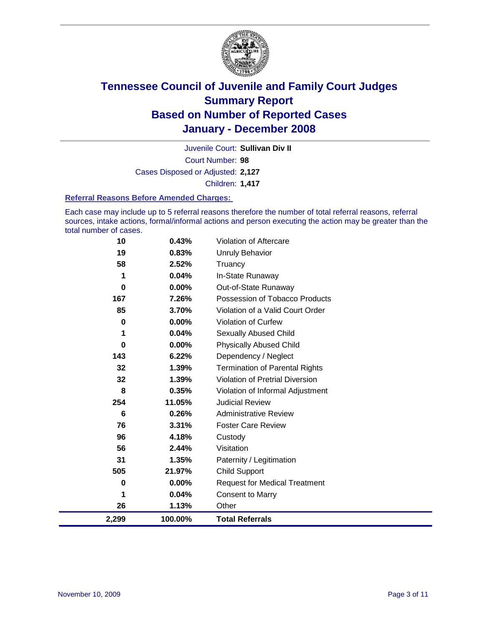

Court Number: **98** Juvenile Court: **Sullivan Div II** Cases Disposed or Adjusted: **2,127** Children: **1,417**

#### **Referral Reasons Before Amended Charges:**

Each case may include up to 5 referral reasons therefore the number of total referral reasons, referral sources, intake actions, formal/informal actions and person executing the action may be greater than the total number of cases.

| 10    | 0.43%   | Violation of Aftercare                 |
|-------|---------|----------------------------------------|
| 19    | 0.83%   | <b>Unruly Behavior</b>                 |
| 58    | 2.52%   | Truancy                                |
| 1     | 0.04%   | In-State Runaway                       |
| 0     | 0.00%   | Out-of-State Runaway                   |
| 167   | 7.26%   | Possession of Tobacco Products         |
| 85    | 3.70%   | Violation of a Valid Court Order       |
| 0     | 0.00%   | <b>Violation of Curfew</b>             |
| 1     | 0.04%   | Sexually Abused Child                  |
| 0     | 0.00%   | <b>Physically Abused Child</b>         |
| 143   | 6.22%   | Dependency / Neglect                   |
| 32    | 1.39%   | <b>Termination of Parental Rights</b>  |
| 32    | 1.39%   | <b>Violation of Pretrial Diversion</b> |
| 8     | 0.35%   | Violation of Informal Adjustment       |
| 254   | 11.05%  | <b>Judicial Review</b>                 |
| 6     | 0.26%   | <b>Administrative Review</b>           |
| 76    | 3.31%   | <b>Foster Care Review</b>              |
| 96    | 4.18%   | Custody                                |
| 56    | 2.44%   | Visitation                             |
| 31    | 1.35%   | Paternity / Legitimation               |
| 505   | 21.97%  | <b>Child Support</b>                   |
| 0     | 0.00%   | <b>Request for Medical Treatment</b>   |
| 1     | 0.04%   | <b>Consent to Marry</b>                |
| 26    | 1.13%   | Other                                  |
| 2,299 | 100.00% | <b>Total Referrals</b>                 |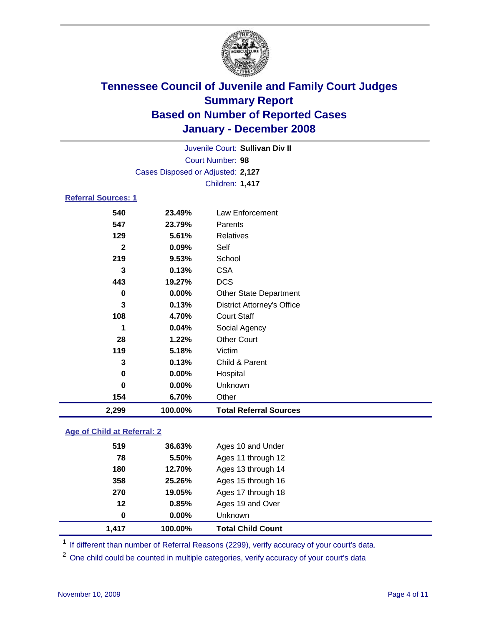

Court Number: **98** Juvenile Court: **Sullivan Div II** Cases Disposed or Adjusted: **2,127** Children: **1,417**

### **Referral Sources: 1**

| 2,299        | 100.00%  | <b>Total Referral Sources</b>     |
|--------------|----------|-----------------------------------|
| 154          | 6.70%    | Other                             |
| 0            | $0.00\%$ | Unknown                           |
| 0            | 0.00%    | Hospital                          |
| 3            | 0.13%    | Child & Parent                    |
| 119          | 5.18%    | Victim                            |
| 28           | 1.22%    | <b>Other Court</b>                |
| 1            | 0.04%    | Social Agency                     |
| 108          | 4.70%    | <b>Court Staff</b>                |
| 3            | 0.13%    | <b>District Attorney's Office</b> |
| 0            | 0.00%    | <b>Other State Department</b>     |
| 443          | 19.27%   | <b>DCS</b>                        |
| 3            | 0.13%    | <b>CSA</b>                        |
| 219          | 9.53%    | School                            |
| $\mathbf{2}$ | 0.09%    | Self                              |
| 129          | 5.61%    | Relatives                         |
| 547          | 23.79%   | Parents                           |
| 540          | 23.49%   | Law Enforcement                   |
|              |          |                                   |

### **Age of Child at Referral: 2**

| 1.417 | 100.00%  | <b>Total Child Count</b> |
|-------|----------|--------------------------|
| 0     | $0.00\%$ | <b>Unknown</b>           |
| 12    | 0.85%    | Ages 19 and Over         |
| 270   | 19.05%   | Ages 17 through 18       |
| 358   | 25.26%   | Ages 15 through 16       |
| 180   | 12.70%   | Ages 13 through 14       |
| 78    | 5.50%    | Ages 11 through 12       |
| 519   | 36.63%   | Ages 10 and Under        |
|       |          |                          |

<sup>1</sup> If different than number of Referral Reasons (2299), verify accuracy of your court's data.

<sup>2</sup> One child could be counted in multiple categories, verify accuracy of your court's data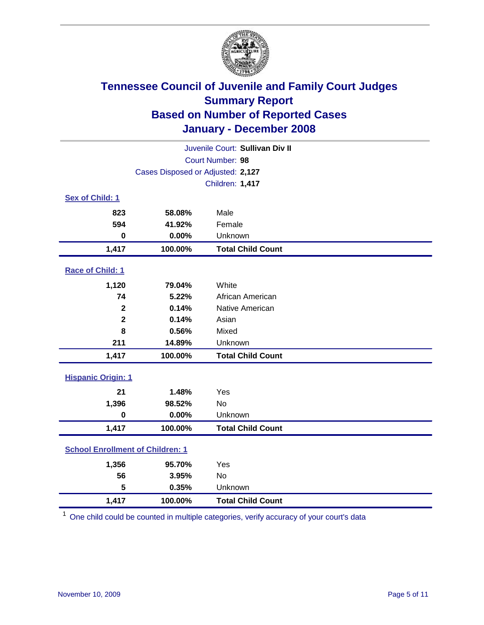

| Juvenile Court: Sullivan Div II         |                                   |                          |  |  |
|-----------------------------------------|-----------------------------------|--------------------------|--|--|
|                                         | Court Number: 98                  |                          |  |  |
|                                         | Cases Disposed or Adjusted: 2,127 |                          |  |  |
|                                         |                                   | Children: 1,417          |  |  |
| Sex of Child: 1                         |                                   |                          |  |  |
| 823                                     | 58.08%                            | Male                     |  |  |
| 594                                     | 41.92%                            | Female                   |  |  |
| $\bf{0}$                                | 0.00%                             | Unknown                  |  |  |
| 1,417                                   | 100.00%                           | <b>Total Child Count</b> |  |  |
| Race of Child: 1                        |                                   |                          |  |  |
| 1,120                                   | 79.04%                            | White                    |  |  |
| 74                                      | 5.22%                             | African American         |  |  |
| $\overline{\mathbf{2}}$                 | 0.14%                             | Native American          |  |  |
| $\mathbf 2$                             | 0.14%                             | Asian                    |  |  |
| 8                                       | 0.56%                             | Mixed                    |  |  |
| 211                                     | 14.89%                            | Unknown                  |  |  |
| 1,417                                   | 100.00%                           | <b>Total Child Count</b> |  |  |
| <b>Hispanic Origin: 1</b>               |                                   |                          |  |  |
| 21                                      | 1.48%                             | Yes                      |  |  |
| 1,396                                   | 98.52%                            | <b>No</b>                |  |  |
| $\mathbf 0$                             | 0.00%                             | Unknown                  |  |  |
| 1,417                                   | 100.00%                           | <b>Total Child Count</b> |  |  |
| <b>School Enrollment of Children: 1</b> |                                   |                          |  |  |
| 1,356                                   | 95.70%                            | Yes                      |  |  |
| 56                                      | 3.95%                             | <b>No</b>                |  |  |
| 5                                       | 0.35%                             | Unknown                  |  |  |
| 1,417                                   | 100.00%                           | <b>Total Child Count</b> |  |  |

<sup>1</sup> One child could be counted in multiple categories, verify accuracy of your court's data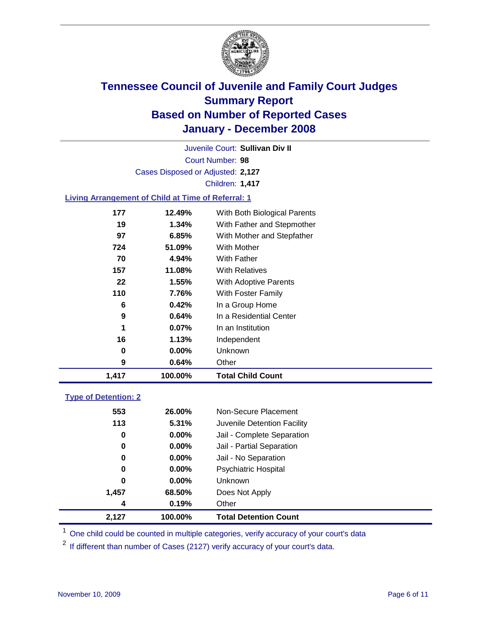

Court Number: **98** Juvenile Court: **Sullivan Div II** Cases Disposed or Adjusted: **2,127** Children: **1,417**

### **Living Arrangement of Child at Time of Referral: 1**

| 1,417 | 100.00%  | <b>Total Child Count</b>     |
|-------|----------|------------------------------|
| 9     | 0.64%    | Other                        |
| 0     | $0.00\%$ | Unknown                      |
| 16    | 1.13%    | Independent                  |
| 1     | $0.07\%$ | In an Institution            |
| 9     | $0.64\%$ | In a Residential Center      |
| 6     | 0.42%    | In a Group Home              |
| 110   | 7.76%    | With Foster Family           |
| 22    | 1.55%    | With Adoptive Parents        |
| 157   | 11.08%   | <b>With Relatives</b>        |
| 70    | 4.94%    | With Father                  |
| 724   | 51.09%   | With Mother                  |
| 97    | 6.85%    | With Mother and Stepfather   |
| 19    | 1.34%    | With Father and Stepmother   |
| 177   | 12.49%   | With Both Biological Parents |

#### **Type of Detention: 2**

| 2,127 | 100.00%  | <b>Total Detention Count</b> |
|-------|----------|------------------------------|
| 4     | 0.19%    | Other                        |
| 1,457 | 68.50%   | Does Not Apply               |
| 0     | $0.00\%$ | Unknown                      |
| 0     | 0.00%    | <b>Psychiatric Hospital</b>  |
| 0     | $0.00\%$ | Jail - No Separation         |
| 0     | $0.00\%$ | Jail - Partial Separation    |
| 0     | $0.00\%$ | Jail - Complete Separation   |
| 113   | 5.31%    | Juvenile Detention Facility  |
| 553   | 26.00%   | Non-Secure Placement         |
|       |          |                              |

<sup>1</sup> One child could be counted in multiple categories, verify accuracy of your court's data

<sup>2</sup> If different than number of Cases (2127) verify accuracy of your court's data.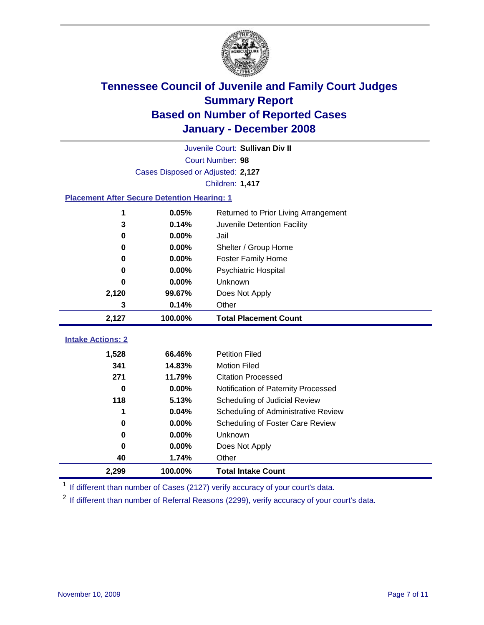

| Juvenile Court: Sullivan Div II                    |                                   |                                              |  |  |  |
|----------------------------------------------------|-----------------------------------|----------------------------------------------|--|--|--|
|                                                    | Court Number: 98                  |                                              |  |  |  |
|                                                    | Cases Disposed or Adjusted: 2,127 |                                              |  |  |  |
|                                                    |                                   | Children: 1,417                              |  |  |  |
| <b>Placement After Secure Detention Hearing: 1</b> |                                   |                                              |  |  |  |
| 1                                                  | 0.05%                             | Returned to Prior Living Arrangement         |  |  |  |
| 3                                                  | 0.14%                             | Juvenile Detention Facility                  |  |  |  |
| $\bf{0}$                                           | 0.00%                             | Jail                                         |  |  |  |
| 0                                                  | 0.00%                             | Shelter / Group Home                         |  |  |  |
| 0                                                  | 0.00%                             | <b>Foster Family Home</b>                    |  |  |  |
| $\bf{0}$                                           | 0.00%                             | <b>Psychiatric Hospital</b>                  |  |  |  |
| 0                                                  | 0.00%                             | Unknown                                      |  |  |  |
| 2,120                                              | 99.67%                            | Does Not Apply                               |  |  |  |
| 3                                                  | 0.14%                             | Other                                        |  |  |  |
|                                                    |                                   |                                              |  |  |  |
| 2,127                                              | 100.00%                           | <b>Total Placement Count</b>                 |  |  |  |
|                                                    |                                   |                                              |  |  |  |
| <b>Intake Actions: 2</b>                           |                                   |                                              |  |  |  |
| 1,528<br>341                                       | 66.46%                            | <b>Petition Filed</b><br><b>Motion Filed</b> |  |  |  |
| 271                                                | 14.83%<br>11.79%                  | <b>Citation Processed</b>                    |  |  |  |
| $\bf{0}$                                           | 0.00%                             | Notification of Paternity Processed          |  |  |  |
| 118                                                | 5.13%                             | Scheduling of Judicial Review                |  |  |  |
|                                                    | 0.04%                             | Scheduling of Administrative Review          |  |  |  |
| 0                                                  | 0.00%                             | Scheduling of Foster Care Review             |  |  |  |
| $\bf{0}$                                           | 0.00%                             | Unknown                                      |  |  |  |
| $\bf{0}$                                           | 0.00%                             | Does Not Apply                               |  |  |  |
| 40                                                 | 1.74%                             | Other                                        |  |  |  |

<sup>1</sup> If different than number of Cases (2127) verify accuracy of your court's data.

<sup>2</sup> If different than number of Referral Reasons (2299), verify accuracy of your court's data.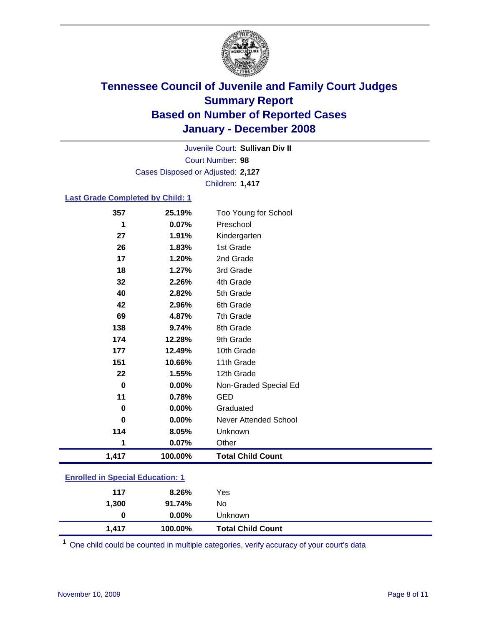

Court Number: **98** Juvenile Court: **Sullivan Div II** Cases Disposed or Adjusted: **2,127** Children: **1,417**

#### **Last Grade Completed by Child: 1**

| 1,417       | 100.00% | <b>Total Child Count</b>     |  |
|-------------|---------|------------------------------|--|
| 1           | 0.07%   | Other                        |  |
| 114         | 8.05%   | Unknown                      |  |
| $\bf{0}$    | 0.00%   | <b>Never Attended School</b> |  |
| 0           | 0.00%   | Graduated                    |  |
| 11          | 0.78%   | <b>GED</b>                   |  |
| $\mathbf 0$ | 0.00%   | Non-Graded Special Ed        |  |
| 22          | 1.55%   | 12th Grade                   |  |
| 151         | 10.66%  | 11th Grade                   |  |
| 177         | 12.49%  | 10th Grade                   |  |
| 174         | 12.28%  | 9th Grade                    |  |
| 138         | 9.74%   | 8th Grade                    |  |
| 69          | 4.87%   | 7th Grade                    |  |
| 42          | 2.96%   | 6th Grade                    |  |
| 40          | 2.82%   | 5th Grade                    |  |
| 32          | 2.26%   | 4th Grade                    |  |
| 18          | 1.27%   | 3rd Grade                    |  |
| 17          | 1.20%   | 2nd Grade                    |  |
| 26          | 1.83%   | 1st Grade                    |  |
| 27          | 1.91%   | Kindergarten                 |  |
| 1           | 0.07%   | Preschool                    |  |
| 357         | 25.19%  | Too Young for School         |  |

### **Enrolled in Special Education: 1**

| 1,417 | 100.00%  | <b>Total Child Count</b> |  |
|-------|----------|--------------------------|--|
| 0     | $0.00\%$ | Unknown                  |  |
| 1,300 | 91.74%   | No                       |  |
| 117   | 8.26%    | Yes                      |  |
|       |          |                          |  |

<sup>1</sup> One child could be counted in multiple categories, verify accuracy of your court's data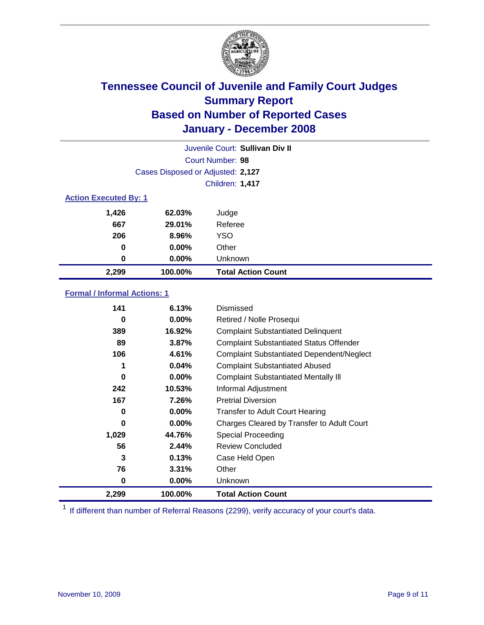

| Juvenile Court: Sullivan Div II |                                   |                           |  |  |
|---------------------------------|-----------------------------------|---------------------------|--|--|
|                                 | Court Number: 98                  |                           |  |  |
|                                 | Cases Disposed or Adjusted: 2,127 |                           |  |  |
|                                 | <b>Children: 1,417</b>            |                           |  |  |
| <b>Action Executed By: 1</b>    |                                   |                           |  |  |
| 1,426                           | 62.03%                            | Judge                     |  |  |
| 667                             | 29.01%                            | Referee                   |  |  |
| 206                             | 8.96%                             | <b>YSO</b>                |  |  |
| 0                               | $0.00\%$                          | Other                     |  |  |
| 0                               | $0.00\%$                          | Unknown                   |  |  |
| 2,299                           | 100.00%                           | <b>Total Action Count</b> |  |  |

### **Formal / Informal Actions: 1**

| 141   | 6.13%    | <b>Dismissed</b>                                 |
|-------|----------|--------------------------------------------------|
| 0     | $0.00\%$ | Retired / Nolle Prosequi                         |
| 389   | 16.92%   | <b>Complaint Substantiated Delinquent</b>        |
| 89    | 3.87%    | <b>Complaint Substantiated Status Offender</b>   |
| 106   | 4.61%    | <b>Complaint Substantiated Dependent/Neglect</b> |
| 1     | 0.04%    | <b>Complaint Substantiated Abused</b>            |
| 0     | 0.00%    | <b>Complaint Substantiated Mentally III</b>      |
| 242   | 10.53%   | Informal Adjustment                              |
| 167   | 7.26%    | <b>Pretrial Diversion</b>                        |
| 0     | 0.00%    | <b>Transfer to Adult Court Hearing</b>           |
| 0     | $0.00\%$ | Charges Cleared by Transfer to Adult Court       |
| 1,029 | 44.76%   | Special Proceeding                               |
| 56    | 2.44%    | <b>Review Concluded</b>                          |
| 3     | 0.13%    | Case Held Open                                   |
| 76    | 3.31%    | Other                                            |
| 0     | 0.00%    | <b>Unknown</b>                                   |
| 2,299 | 100.00%  | <b>Total Action Count</b>                        |

<sup>1</sup> If different than number of Referral Reasons (2299), verify accuracy of your court's data.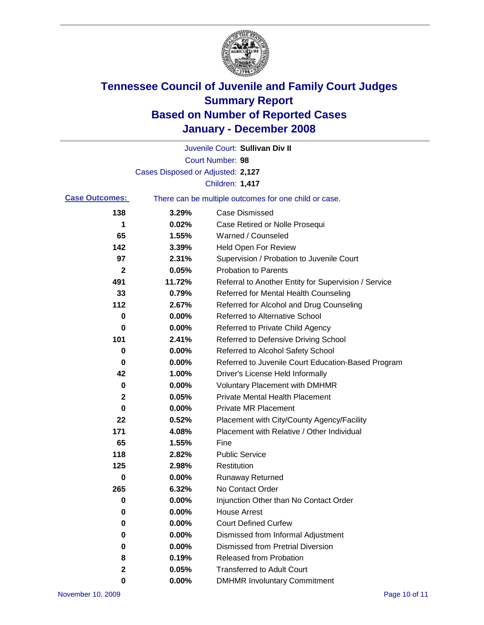

|                       |                                   | Juvenile Court: Sullivan Div II                       |
|-----------------------|-----------------------------------|-------------------------------------------------------|
|                       |                                   | Court Number: 98                                      |
|                       | Cases Disposed or Adjusted: 2,127 |                                                       |
|                       |                                   | Children: 1,417                                       |
| <b>Case Outcomes:</b> |                                   | There can be multiple outcomes for one child or case. |
| 138                   | 3.29%                             | <b>Case Dismissed</b>                                 |
| 1                     | 0.02%                             | Case Retired or Nolle Prosequi                        |
| 65                    | 1.55%                             | Warned / Counseled                                    |
| 142                   | 3.39%                             | <b>Held Open For Review</b>                           |
| 97                    | 2.31%                             | Supervision / Probation to Juvenile Court             |
| $\mathbf{2}$          | 0.05%                             | <b>Probation to Parents</b>                           |
| 491                   | 11.72%                            | Referral to Another Entity for Supervision / Service  |
| 33                    | 0.79%                             | Referred for Mental Health Counseling                 |
| 112                   | 2.67%                             | Referred for Alcohol and Drug Counseling              |
| 0                     | 0.00%                             | <b>Referred to Alternative School</b>                 |
| 0                     | 0.00%                             | Referred to Private Child Agency                      |
| 101                   | 2.41%                             | Referred to Defensive Driving School                  |
| 0                     | 0.00%                             | Referred to Alcohol Safety School                     |
| 0                     | 0.00%                             | Referred to Juvenile Court Education-Based Program    |
| 42                    | 1.00%                             | Driver's License Held Informally                      |
| 0                     | 0.00%                             | <b>Voluntary Placement with DMHMR</b>                 |
| $\mathbf{2}$          | 0.05%                             | <b>Private Mental Health Placement</b>                |
| 0                     | 0.00%                             | <b>Private MR Placement</b>                           |
| 22                    | 0.52%                             | Placement with City/County Agency/Facility            |
| 171                   | 4.08%                             | Placement with Relative / Other Individual            |
| 65                    | 1.55%                             | Fine                                                  |
| 118                   | 2.82%                             | <b>Public Service</b>                                 |
| 125                   | 2.98%                             | Restitution                                           |
| 0                     | 0.00%                             | <b>Runaway Returned</b>                               |
| 265                   | 6.32%                             | No Contact Order                                      |
| 0                     | $0.00\%$                          | Injunction Other than No Contact Order                |
| 0                     | 0.00%                             | <b>House Arrest</b>                                   |
| 0                     | 0.00%                             | <b>Court Defined Curfew</b>                           |
| 0                     | 0.00%                             | Dismissed from Informal Adjustment                    |
| 0                     | 0.00%                             | <b>Dismissed from Pretrial Diversion</b>              |
| 8                     | 0.19%                             | Released from Probation                               |
| $\mathbf 2$           | 0.05%                             | <b>Transferred to Adult Court</b>                     |
| 0                     | $0.00\%$                          | <b>DMHMR Involuntary Commitment</b>                   |